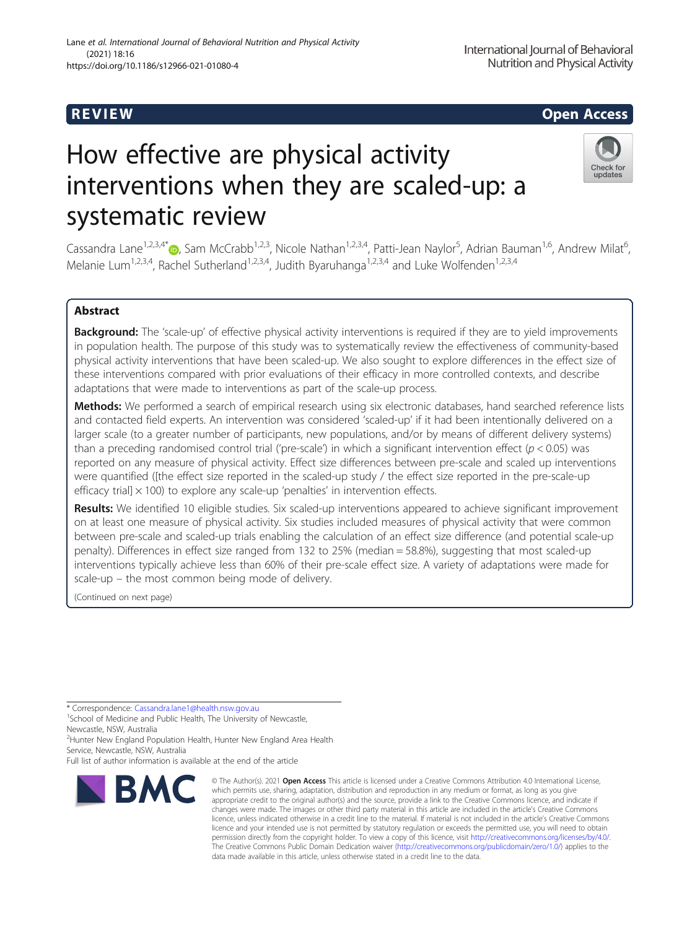# **REVIEW CONSTRUCTION CONTROL**

# How effective are physical activity interventions when they are scaled-up: a systematic review



Cassandra Lane<sup>1,2,3,4[\\*](http://orcid.org/0000-0003-0492-8554)</sup>®, Sam McCrabb<sup>1,2,3</sup>, Nicole Nathan<sup>1,2,3,4</sup>, Patti-Jean Naylor<sup>5</sup>, Adrian Bauman<sup>1,6</sup>, Andrew Milat<sup>6</sup> י<br>, Melanie Lum<sup>1,2,3,4</sup>, Rachel Sutherland<sup>1,2,3,4</sup>, Judith Byaruhanga<sup>1,2,3,4</sup> and Luke Wolfenden<sup>1,2,3,4</sup>

# Abstract

Background: The 'scale-up' of effective physical activity interventions is required if they are to yield improvements in population health. The purpose of this study was to systematically review the effectiveness of community-based physical activity interventions that have been scaled-up. We also sought to explore differences in the effect size of these interventions compared with prior evaluations of their efficacy in more controlled contexts, and describe adaptations that were made to interventions as part of the scale-up process.

Methods: We performed a search of empirical research using six electronic databases, hand searched reference lists and contacted field experts. An intervention was considered 'scaled-up' if it had been intentionally delivered on a larger scale (to a greater number of participants, new populations, and/or by means of different delivery systems) than a preceding randomised control trial ('pre-scale') in which a significant intervention effect ( $p < 0.05$ ) was reported on any measure of physical activity. Effect size differences between pre-scale and scaled up interventions were quantified ([the effect size reported in the scaled-up study / the effect size reported in the pre-scale-up efficacy trial]  $\times$  100) to explore any scale-up 'penalties' in intervention effects.

Results: We identified 10 eligible studies. Six scaled-up interventions appeared to achieve significant improvement on at least one measure of physical activity. Six studies included measures of physical activity that were common between pre-scale and scaled-up trials enabling the calculation of an effect size difference (and potential scale-up penalty). Differences in effect size ranged from 132 to 25% (median = 58.8%), suggesting that most scaled-up interventions typically achieve less than 60% of their pre-scale effect size. A variety of adaptations were made for scale-up – the most common being mode of delivery.

(Continued on next page)

\* Correspondence: [Cassandra.lane1@health.nsw.gov.au](mailto:Cassandra.lane1@health.nsw.gov.au) <sup>1</sup>

<sup>1</sup>School of Medicine and Public Health, The University of Newcastle,

Newcastle, NSW, Australia <sup>2</sup> Hunter New England Population Health, Hunter New England Area Health Service, Newcastle, NSW, Australia

Full list of author information is available at the end of the article



<sup>©</sup> The Author(s), 2021 **Open Access** This article is licensed under a Creative Commons Attribution 4.0 International License, which permits use, sharing, adaptation, distribution and reproduction in any medium or format, as long as you give appropriate credit to the original author(s) and the source, provide a link to the Creative Commons licence, and indicate if changes were made. The images or other third party material in this article are included in the article's Creative Commons licence, unless indicated otherwise in a credit line to the material. If material is not included in the article's Creative Commons licence and your intended use is not permitted by statutory regulation or exceeds the permitted use, you will need to obtain permission directly from the copyright holder. To view a copy of this licence, visit [http://creativecommons.org/licenses/by/4.0/.](http://creativecommons.org/licenses/by/4.0/) The Creative Commons Public Domain Dedication waiver [\(http://creativecommons.org/publicdomain/zero/1.0/](http://creativecommons.org/publicdomain/zero/1.0/)) applies to the data made available in this article, unless otherwise stated in a credit line to the data.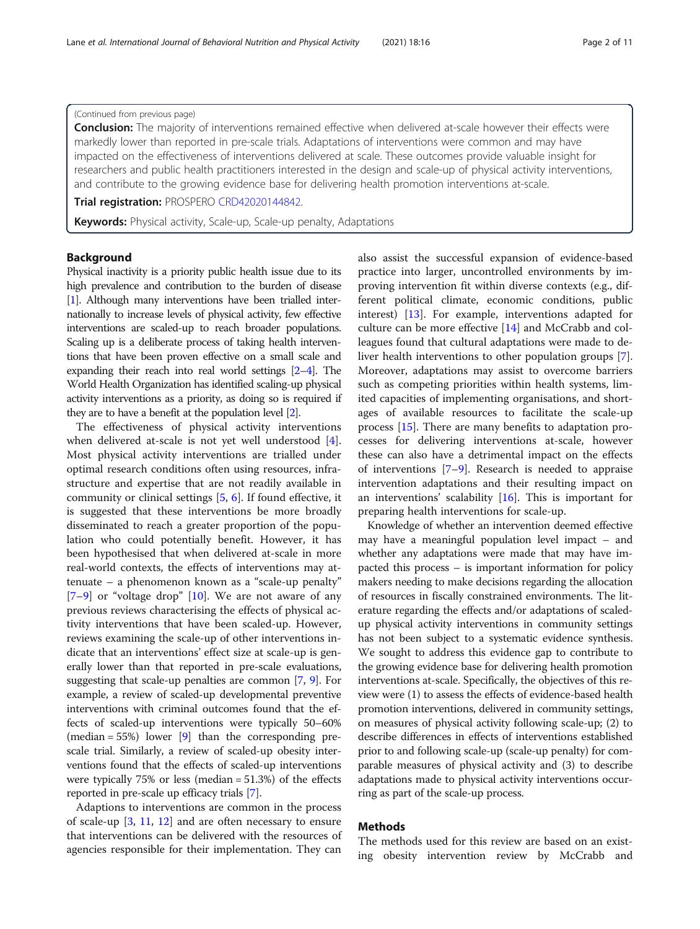# (Continued from previous page)

**Conclusion:** The majority of interventions remained effective when delivered at-scale however their effects were markedly lower than reported in pre-scale trials. Adaptations of interventions were common and may have impacted on the effectiveness of interventions delivered at scale. These outcomes provide valuable insight for researchers and public health practitioners interested in the design and scale-up of physical activity interventions, and contribute to the growing evidence base for delivering health promotion interventions at-scale.

Trial registration: PROSPERO [CRD42020144842.](https://www.crd.york.ac.uk/prospero/display_record.php?RecordID=144842)

Keywords: Physical activity, Scale-up, Scale-up penalty, Adaptations

# Background

Physical inactivity is a priority public health issue due to its high prevalence and contribution to the burden of disease [[1](#page-8-0)]. Although many interventions have been trialled internationally to increase levels of physical activity, few effective interventions are scaled-up to reach broader populations. Scaling up is a deliberate process of taking health interventions that have been proven effective on a small scale and expanding their reach into real world settings [\[2](#page-8-0)–[4](#page-8-0)]. The World Health Organization has identified scaling-up physical activity interventions as a priority, as doing so is required if they are to have a benefit at the population level [\[2](#page-8-0)].

The effectiveness of physical activity interventions when delivered at-scale is not yet well understood [\[4](#page-8-0)]. Most physical activity interventions are trialled under optimal research conditions often using resources, infrastructure and expertise that are not readily available in community or clinical settings [\[5,](#page-8-0) [6\]](#page-8-0). If found effective, it is suggested that these interventions be more broadly disseminated to reach a greater proportion of the population who could potentially benefit. However, it has been hypothesised that when delivered at-scale in more real-world contexts, the effects of interventions may attenuate – a phenomenon known as a "scale-up penalty"  $[7-9]$  $[7-9]$  $[7-9]$  $[7-9]$  or "voltage drop"  $[10]$ . We are not aware of any previous reviews characterising the effects of physical activity interventions that have been scaled-up. However, reviews examining the scale-up of other interventions indicate that an interventions' effect size at scale-up is generally lower than that reported in pre-scale evaluations, suggesting that scale-up penalties are common [\[7](#page-8-0), [9](#page-8-0)]. For example, a review of scaled-up developmental preventive interventions with criminal outcomes found that the effects of scaled-up interventions were typically 50–60% (median = 55%) lower [\[9\]](#page-8-0) than the corresponding prescale trial. Similarly, a review of scaled-up obesity interventions found that the effects of scaled-up interventions were typically 75% or less (median = 51.3%) of the effects reported in pre-scale up efficacy trials [[7\]](#page-8-0).

Adaptions to interventions are common in the process of scale-up [\[3](#page-8-0), [11,](#page-8-0) [12](#page-8-0)] and are often necessary to ensure that interventions can be delivered with the resources of agencies responsible for their implementation. They can

also assist the successful expansion of evidence-based practice into larger, uncontrolled environments by improving intervention fit within diverse contexts (e.g., different political climate, economic conditions, public interest) [\[13](#page-9-0)]. For example, interventions adapted for culture can be more effective [[14\]](#page-9-0) and McCrabb and colleagues found that cultural adaptations were made to deliver health interventions to other population groups [\[7](#page-8-0)]. Moreover, adaptations may assist to overcome barriers such as competing priorities within health systems, limited capacities of implementing organisations, and shortages of available resources to facilitate the scale-up process [\[15](#page-9-0)]. There are many benefits to adaptation processes for delivering interventions at-scale, however these can also have a detrimental impact on the effects of interventions [\[7](#page-8-0)–[9](#page-8-0)]. Research is needed to appraise intervention adaptations and their resulting impact on an interventions' scalability  $[16]$  $[16]$ . This is important for preparing health interventions for scale-up.

Knowledge of whether an intervention deemed effective may have a meaningful population level impact – and whether any adaptations were made that may have impacted this process – is important information for policy makers needing to make decisions regarding the allocation of resources in fiscally constrained environments. The literature regarding the effects and/or adaptations of scaledup physical activity interventions in community settings has not been subject to a systematic evidence synthesis. We sought to address this evidence gap to contribute to the growing evidence base for delivering health promotion interventions at-scale. Specifically, the objectives of this review were (1) to assess the effects of evidence-based health promotion interventions, delivered in community settings, on measures of physical activity following scale-up; (2) to describe differences in effects of interventions established prior to and following scale-up (scale-up penalty) for comparable measures of physical activity and (3) to describe adaptations made to physical activity interventions occurring as part of the scale-up process.

# Methods

The methods used for this review are based on an existing obesity intervention review by McCrabb and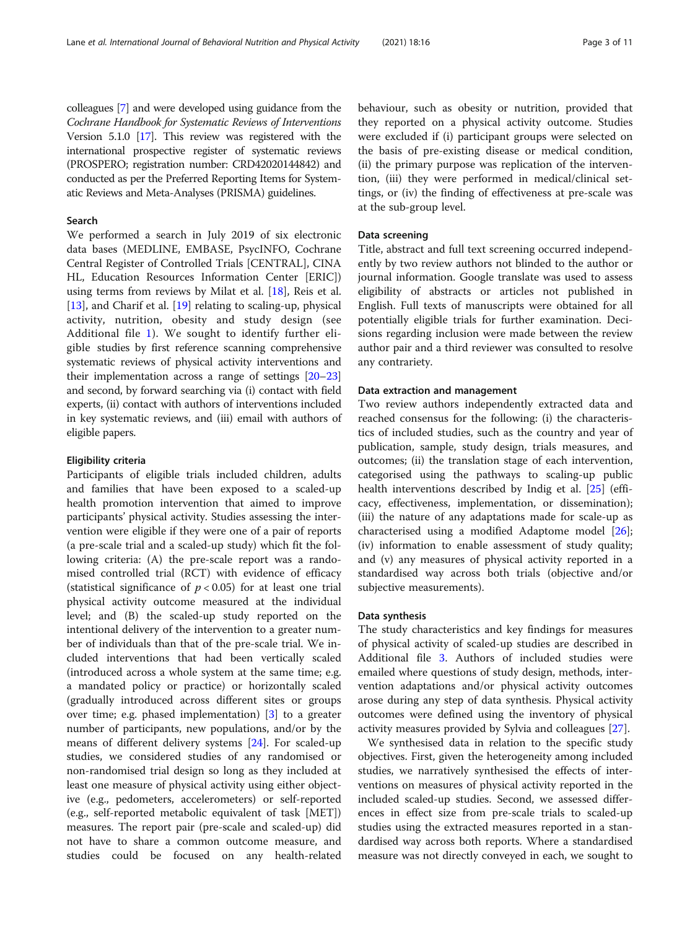colleagues [\[7](#page-8-0)] and were developed using guidance from the Cochrane Handbook for Systematic Reviews of Interventions Version 5.1.0 [\[17](#page-9-0)]. This review was registered with the international prospective register of systematic reviews (PROSPERO; registration number: CRD42020144842) and conducted as per the Preferred Reporting Items for Systematic Reviews and Meta-Analyses (PRISMA) guidelines.

#### Search

We performed a search in July 2019 of six electronic data bases (MEDLINE, EMBASE, PsycINFO, Cochrane Central Register of Controlled Trials [CENTRAL], CINA HL, Education Resources Information Center [ERIC]) using terms from reviews by Milat et al. [\[18](#page-9-0)], Reis et al. [[13\]](#page-9-0), and Charif et al. [[19\]](#page-9-0) relating to scaling-up, physical activity, nutrition, obesity and study design (see Additional file [1](#page-8-0)). We sought to identify further eligible studies by first reference scanning comprehensive systematic reviews of physical activity interventions and their implementation across a range of settings [\[20](#page-9-0)–[23](#page-9-0)] and second, by forward searching via (i) contact with field experts, (ii) contact with authors of interventions included in key systematic reviews, and (iii) email with authors of eligible papers.

#### Eligibility criteria

Participants of eligible trials included children, adults and families that have been exposed to a scaled-up health promotion intervention that aimed to improve participants' physical activity. Studies assessing the intervention were eligible if they were one of a pair of reports (a pre-scale trial and a scaled-up study) which fit the following criteria: (A) the pre-scale report was a randomised controlled trial (RCT) with evidence of efficacy (statistical significance of  $p < 0.05$ ) for at least one trial physical activity outcome measured at the individual level; and (B) the scaled-up study reported on the intentional delivery of the intervention to a greater number of individuals than that of the pre-scale trial. We included interventions that had been vertically scaled (introduced across a whole system at the same time; e.g. a mandated policy or practice) or horizontally scaled (gradually introduced across different sites or groups over time; e.g. phased implementation) [[3\]](#page-8-0) to a greater number of participants, new populations, and/or by the means of different delivery systems [[24\]](#page-9-0). For scaled-up studies, we considered studies of any randomised or non-randomised trial design so long as they included at least one measure of physical activity using either objective (e.g., pedometers, accelerometers) or self-reported (e.g., self-reported metabolic equivalent of task [MET]) measures. The report pair (pre-scale and scaled-up) did not have to share a common outcome measure, and studies could be focused on any health-related behaviour, such as obesity or nutrition, provided that they reported on a physical activity outcome. Studies were excluded if (i) participant groups were selected on the basis of pre-existing disease or medical condition, (ii) the primary purpose was replication of the intervention, (iii) they were performed in medical/clinical settings, or (iv) the finding of effectiveness at pre-scale was at the sub-group level.

# Data screening

Title, abstract and full text screening occurred independently by two review authors not blinded to the author or journal information. Google translate was used to assess eligibility of abstracts or articles not published in English. Full texts of manuscripts were obtained for all potentially eligible trials for further examination. Decisions regarding inclusion were made between the review author pair and a third reviewer was consulted to resolve any contrariety.

## Data extraction and management

Two review authors independently extracted data and reached consensus for the following: (i) the characteristics of included studies, such as the country and year of publication, sample, study design, trials measures, and outcomes; (ii) the translation stage of each intervention, categorised using the pathways to scaling-up public health interventions described by Indig et al. [[25\]](#page-9-0) (efficacy, effectiveness, implementation, or dissemination); (iii) the nature of any adaptations made for scale-up as characterised using a modified Adaptome model [\[26](#page-9-0)]; (iv) information to enable assessment of study quality; and (v) any measures of physical activity reported in a standardised way across both trials (objective and/or subjective measurements).

## Data synthesis

The study characteristics and key findings for measures of physical activity of scaled-up studies are described in Additional file [3.](#page-8-0) Authors of included studies were emailed where questions of study design, methods, intervention adaptations and/or physical activity outcomes arose during any step of data synthesis. Physical activity outcomes were defined using the inventory of physical activity measures provided by Sylvia and colleagues [[27\]](#page-9-0).

We synthesised data in relation to the specific study objectives. First, given the heterogeneity among included studies, we narratively synthesised the effects of interventions on measures of physical activity reported in the included scaled-up studies. Second, we assessed differences in effect size from pre-scale trials to scaled-up studies using the extracted measures reported in a standardised way across both reports. Where a standardised measure was not directly conveyed in each, we sought to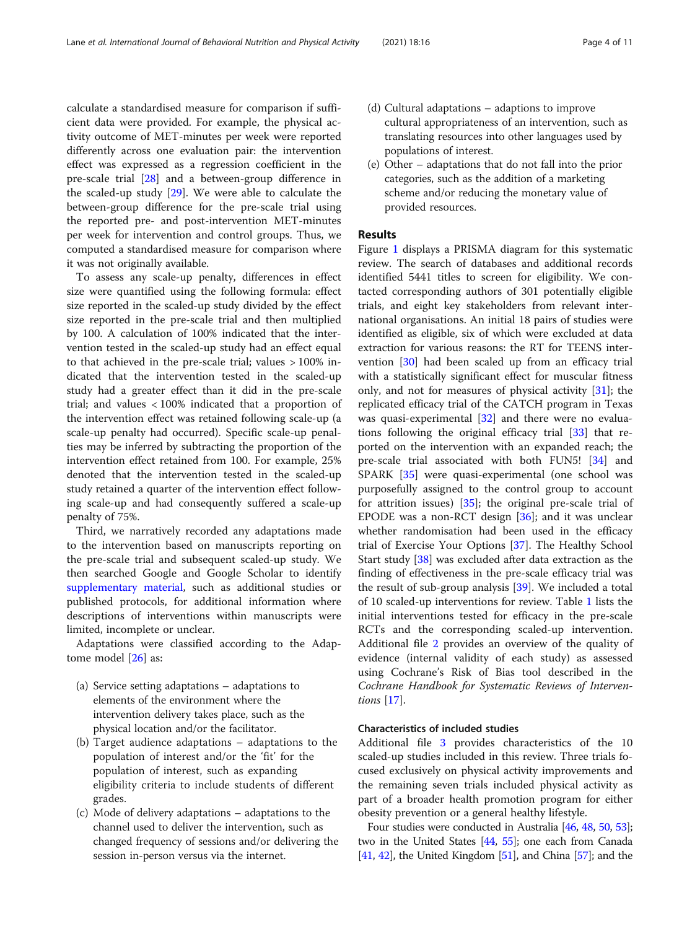calculate a standardised measure for comparison if sufficient data were provided. For example, the physical activity outcome of MET-minutes per week were reported differently across one evaluation pair: the intervention effect was expressed as a regression coefficient in the pre-scale trial [[28\]](#page-9-0) and a between-group difference in the scaled-up study [\[29\]](#page-9-0). We were able to calculate the between-group difference for the pre-scale trial using the reported pre- and post-intervention MET-minutes per week for intervention and control groups. Thus, we computed a standardised measure for comparison where it was not originally available.

To assess any scale-up penalty, differences in effect size were quantified using the following formula: effect size reported in the scaled-up study divided by the effect size reported in the pre-scale trial and then multiplied by 100. A calculation of 100% indicated that the intervention tested in the scaled-up study had an effect equal to that achieved in the pre-scale trial; values > 100% indicated that the intervention tested in the scaled-up study had a greater effect than it did in the pre-scale trial; and values < 100% indicated that a proportion of the intervention effect was retained following scale-up (a scale-up penalty had occurred). Specific scale-up penalties may be inferred by subtracting the proportion of the intervention effect retained from 100. For example, 25% denoted that the intervention tested in the scaled-up study retained a quarter of the intervention effect following scale-up and had consequently suffered a scale-up penalty of 75%.

Third, we narratively recorded any adaptations made to the intervention based on manuscripts reporting on the pre-scale trial and subsequent scaled-up study. We then searched Google and Google Scholar to identify [supplementary material,](#page-8-0) such as additional studies or published protocols, for additional information where descriptions of interventions within manuscripts were limited, incomplete or unclear.

Adaptations were classified according to the Adaptome model [\[26\]](#page-9-0) as:

- (a) Service setting adaptations adaptations to elements of the environment where the intervention delivery takes place, such as the physical location and/or the facilitator.
- (b) Target audience adaptations adaptations to the population of interest and/or the 'fit' for the population of interest, such as expanding eligibility criteria to include students of different grades.
- (c) Mode of delivery adaptations adaptations to the channel used to deliver the intervention, such as changed frequency of sessions and/or delivering the session in-person versus via the internet.
- (d) Cultural adaptations adaptions to improve cultural appropriateness of an intervention, such as translating resources into other languages used by populations of interest.
- (e) Other adaptations that do not fall into the prior categories, such as the addition of a marketing scheme and/or reducing the monetary value of provided resources.

# Results

Figure [1](#page-4-0) displays a PRISMA diagram for this systematic review. The search of databases and additional records identified 5441 titles to screen for eligibility. We contacted corresponding authors of 301 potentially eligible trials, and eight key stakeholders from relevant international organisations. An initial 18 pairs of studies were identified as eligible, six of which were excluded at data extraction for various reasons: the RT for TEENS intervention [\[30\]](#page-9-0) had been scaled up from an efficacy trial with a statistically significant effect for muscular fitness only, and not for measures of physical activity [[31](#page-9-0)]; the replicated efficacy trial of the CATCH program in Texas was quasi-experimental [\[32](#page-9-0)] and there were no evaluations following the original efficacy trial [\[33](#page-9-0)] that reported on the intervention with an expanded reach; the pre-scale trial associated with both FUN5! [\[34\]](#page-9-0) and SPARK [\[35\]](#page-9-0) were quasi-experimental (one school was purposefully assigned to the control group to account for attrition issues)  $[35]$  $[35]$ ; the original pre-scale trial of EPODE was a non-RCT design  $[36]$  $[36]$ ; and it was unclear whether randomisation had been used in the efficacy trial of Exercise Your Options [\[37\]](#page-9-0). The Healthy School Start study [\[38](#page-9-0)] was excluded after data extraction as the finding of effectiveness in the pre-scale efficacy trial was the result of sub-group analysis [\[39](#page-9-0)]. We included a total of 10 scaled-up interventions for review. Table [1](#page-4-0) lists the initial interventions tested for efficacy in the pre-scale RCTs and the corresponding scaled-up intervention. Additional file [2](#page-8-0) provides an overview of the quality of evidence (internal validity of each study) as assessed using Cochrane's Risk of Bias tool described in the Cochrane Handbook for Systematic Reviews of Interventions [\[17\]](#page-9-0).

# Characteristics of included studies

Additional file [3](#page-8-0) provides characteristics of the 10 scaled-up studies included in this review. Three trials focused exclusively on physical activity improvements and the remaining seven trials included physical activity as part of a broader health promotion program for either obesity prevention or a general healthy lifestyle.

Four studies were conducted in Australia [\[46](#page-9-0), [48,](#page-9-0) [50](#page-9-0), [53](#page-9-0)]; two in the United States [\[44](#page-9-0), [55\]](#page-9-0); one each from Canada  $[41, 42]$  $[41, 42]$  $[41, 42]$  $[41, 42]$ , the United Kingdom  $[51]$  $[51]$ , and China  $[57]$ ; and the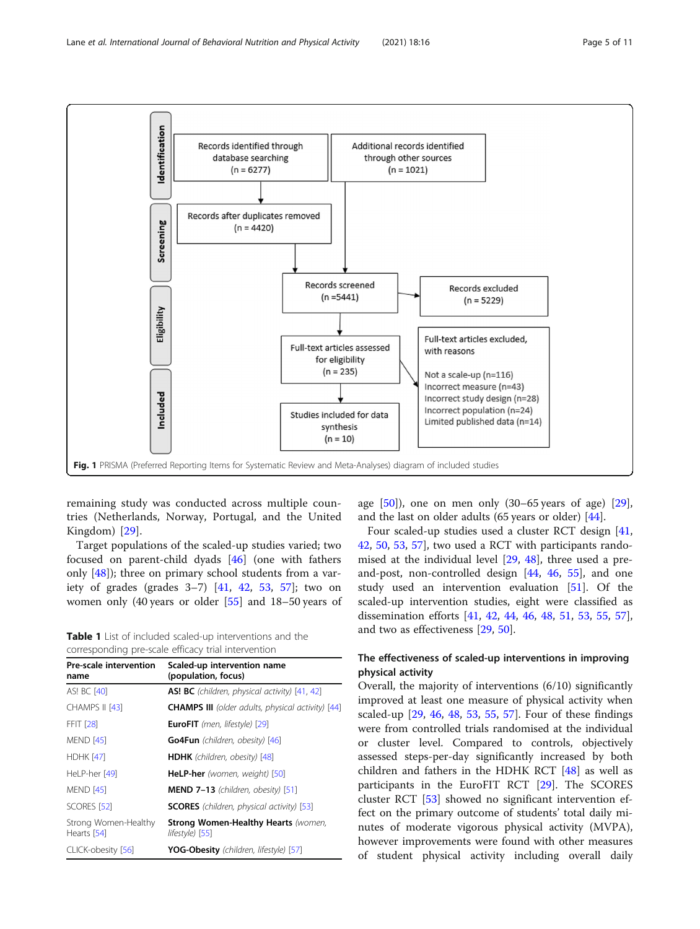<span id="page-4-0"></span>

remaining study was conducted across multiple countries (Netherlands, Norway, Portugal, and the United Kingdom) [[29](#page-9-0)].

Target populations of the scaled-up studies varied; two focused on parent-child dyads [[46\]](#page-9-0) (one with fathers only [[48\]](#page-9-0)); three on primary school students from a variety of grades (grades  $3-7$ )  $[41, 42, 53, 57]$  $[41, 42, 53, 57]$  $[41, 42, 53, 57]$  $[41, 42, 53, 57]$  $[41, 42, 53, 57]$  $[41, 42, 53, 57]$  $[41, 42, 53, 57]$  $[41, 42, 53, 57]$ ; two on women only (40 years or older [[55\]](#page-9-0) and 18–50 years of

|  | <b>Table 1</b> List of included scaled-up interventions and the |
|--|-----------------------------------------------------------------|
|  | corresponding pre-scale efficacy trial intervention             |

| <b>Pre-scale intervention</b><br>name | Scaled-up intervention name<br>(population, focus)            |  |  |
|---------------------------------------|---------------------------------------------------------------|--|--|
| AS! BC [40]                           | <b>AS! BC</b> (children, physical activity) [41, 42]          |  |  |
| CHAMPS II [43]                        | <b>CHAMPS III</b> (older adults, physical activity) [44]      |  |  |
| <b>FFIT [28]</b>                      | <b>EuroFIT</b> (men, lifestyle) [29]                          |  |  |
| <b>MEND [45]</b>                      | <b>Go4Fun</b> (children, obesity) [46]                        |  |  |
| <b>HDHK [47]</b>                      | <b>HDHK</b> (children, obesity) [48]                          |  |  |
| HeLP-her [49]                         | <b>HeLP-her</b> (women, weight) [50]                          |  |  |
| <b>MEND [45]</b>                      | MEND 7-13 (children, obesity) [51]                            |  |  |
| SCORES [52]                           | <b>SCORES</b> (children, physical activity) [53]              |  |  |
| Strong Women-Healthy<br>Hearts [54]   | <b>Strong Women-Healthy Hearts (women,</b><br>lifestyle) [55] |  |  |
| CLICK-obesity [56]                    | YOG-Obesity (children, lifestyle) [57]                        |  |  |

age  $[50]$  $[50]$ , one on men only  $(30-65 \text{ years of age})$   $[29]$  $[29]$ , and the last on older adults (65 years or older) [[44](#page-9-0)].

Four scaled-up studies used a cluster RCT design [[41](#page-9-0), [42,](#page-9-0) [50,](#page-9-0) [53,](#page-9-0) [57](#page-10-0)], two used a RCT with participants randomised at the individual level [[29,](#page-9-0) [48\]](#page-9-0), three used a preand-post, non-controlled design [[44,](#page-9-0) [46,](#page-9-0) [55\]](#page-9-0), and one study used an intervention evaluation [[51\]](#page-9-0). Of the scaled-up intervention studies, eight were classified as dissemination efforts [[41,](#page-9-0) [42](#page-9-0), [44](#page-9-0), [46,](#page-9-0) [48](#page-9-0), [51](#page-9-0), [53,](#page-9-0) [55,](#page-9-0) [57](#page-10-0)], and two as effectiveness [[29,](#page-9-0) [50\]](#page-9-0).

# The effectiveness of scaled-up interventions in improving physical activity

Overall, the majority of interventions (6/10) significantly improved at least one measure of physical activity when scaled-up [\[29](#page-9-0), [46,](#page-9-0) [48](#page-9-0), [53,](#page-9-0) [55](#page-9-0), [57](#page-10-0)]. Four of these findings were from controlled trials randomised at the individual or cluster level. Compared to controls, objectively assessed steps-per-day significantly increased by both children and fathers in the HDHK RCT [[48\]](#page-9-0) as well as participants in the EuroFIT RCT [[29](#page-9-0)]. The SCORES cluster RCT [\[53](#page-9-0)] showed no significant intervention effect on the primary outcome of students' total daily minutes of moderate vigorous physical activity (MVPA), however improvements were found with other measures of student physical activity including overall daily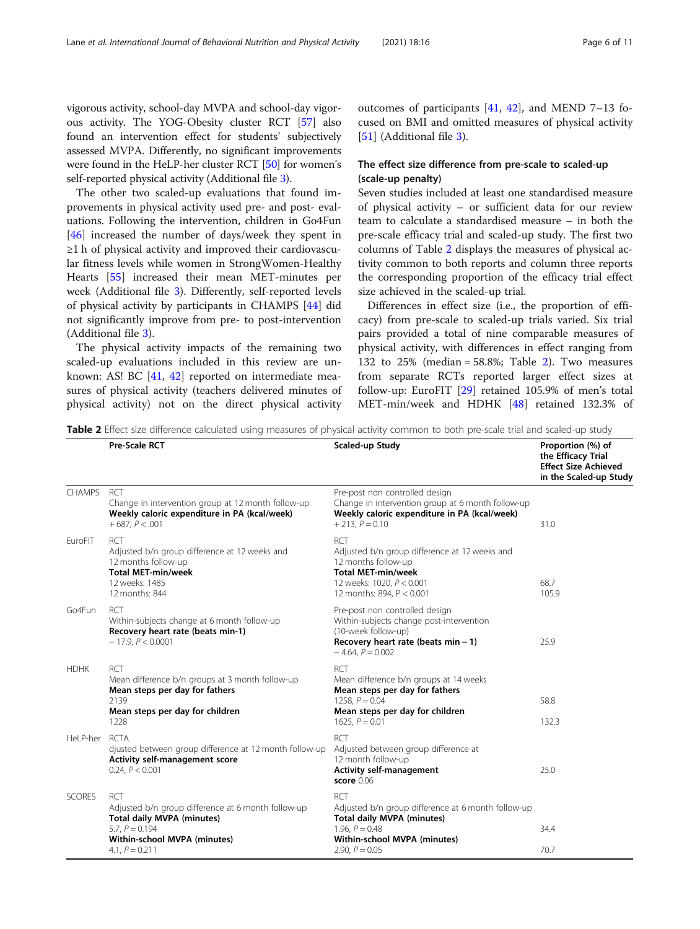vigorous activity, school-day MVPA and school-day vigorous activity. The YOG-Obesity cluster RCT [\[57\]](#page-10-0) also found an intervention effect for students' subjectively assessed MVPA. Differently, no significant improvements were found in the HeLP-her cluster RCT [\[50\]](#page-9-0) for women's self-reported physical activity (Additional file [3](#page-8-0)).

The other two scaled-up evaluations that found improvements in physical activity used pre- and post- evaluations. Following the intervention, children in Go4Fun [[46\]](#page-9-0) increased the number of days/week they spent in ≥1 h of physical activity and improved their cardiovascular fitness levels while women in StrongWomen-Healthy Hearts [[55](#page-9-0)] increased their mean MET-minutes per week (Additional file [3](#page-8-0)). Differently, self-reported levels of physical activity by participants in CHAMPS [[44\]](#page-9-0) did not significantly improve from pre- to post-intervention (Additional file [3](#page-8-0)).

The physical activity impacts of the remaining two scaled-up evaluations included in this review are unknown: AS! BC [\[41](#page-9-0), [42](#page-9-0)] reported on intermediate measures of physical activity (teachers delivered minutes of physical activity) not on the direct physical activity

outcomes of participants [\[41](#page-9-0), [42\]](#page-9-0), and MEND 7–13 focused on BMI and omitted measures of physical activity [[51\]](#page-9-0) (Additional file [3](#page-8-0)).

# The effect size difference from pre-scale to scaled-up (scale-up penalty)

Seven studies included at least one standardised measure of physical activity – or sufficient data for our review team to calculate a standardised measure – in both the pre-scale efficacy trial and scaled-up study. The first two columns of Table 2 displays the measures of physical activity common to both reports and column three reports the corresponding proportion of the efficacy trial effect size achieved in the scaled-up trial.

Differences in effect size (i.e., the proportion of efficacy) from pre-scale to scaled-up trials varied. Six trial pairs provided a total of nine comparable measures of physical activity, with differences in effect ranging from 132 to 25% (median = 58.8%; Table 2). Two measures from separate RCTs reported larger effect sizes at follow-up: EuroFIT [\[29](#page-9-0)] retained 105.9% of men's total MET-min/week and HDHK [\[48](#page-9-0)] retained 132.3% of

Table 2 Effect size difference calculated using measures of physical activity common to both pre-scale trial and scaled-up study

| <b>Pre-Scale RCT</b>                                                                                                                                | Scaled-up Study                                                                                                                                                           | Proportion (%) of<br>the Efficacy Trial<br><b>Effect Size Achieved</b><br>in the Scaled-up Study |
|-----------------------------------------------------------------------------------------------------------------------------------------------------|---------------------------------------------------------------------------------------------------------------------------------------------------------------------------|--------------------------------------------------------------------------------------------------|
| <b>RCT</b><br>Change in intervention group at 12 month follow-up<br>Weekly caloric expenditure in PA (kcal/week)<br>$+687, P < 001$                 | Pre-post non controlled design<br>Change in intervention group at 6 month follow-up<br>Weekly caloric expenditure in PA (kcal/week)<br>$+213, P = 0.10$                   | 31.0                                                                                             |
| <b>RCT</b><br>Adjusted b/n group difference at 12 weeks and<br>12 months follow-up<br><b>Total MET-min/week</b><br>12 weeks: 1485<br>12 months: 844 | <b>RCT</b><br>Adjusted b/n group difference at 12 weeks and<br>12 months follow-up<br><b>Total MET-min/week</b><br>12 weeks: 1020, P < 0.001<br>12 months: 894, P < 0.001 | 68.7<br>105.9                                                                                    |
| <b>RCT</b><br>Within-subjects change at 6 month follow-up<br>Recovery heart rate (beats min-1)<br>$-17.9, P < 0.0001$                               | Pre-post non controlled design<br>Within-subjects change post-intervention<br>(10-week follow-up)<br>Recovery heart rate (beats $min - 1$ )<br>$-4.64, P = 0.002$         | 25.9                                                                                             |
| <b>RCT</b><br>Mean difference b/n groups at 3 month follow-up<br>Mean steps per day for fathers<br>2139<br>Mean steps per day for children<br>1228  | <b>RCT</b><br>Mean difference b/n groups at 14 weeks<br>Mean steps per day for fathers<br>1258, $P = 0.04$<br>Mean steps per day for children<br>1625, $P = 0.01$         | 58.8<br>132.3                                                                                    |
| Hel P-her<br><b>RCTA</b><br>djusted between group difference at 12 month follow-up<br>Activity self-management score<br>0.24, $P < 0.001$           | <b>RCT</b><br>Adjusted between group difference at<br>12 month follow-up<br>Activity self-management<br>score $0.06$                                                      | 25.0                                                                                             |
| <b>RCT</b><br>Adjusted b/n group difference at 6 month follow-up<br>Total daily MVPA (minutes)<br>5.7, $P = 0.194$<br>Within-school MVPA (minutes)  | <b>RCT</b><br><b>Total daily MVPA (minutes)</b><br>1.96, $P = 0.48$<br>Within-school MVPA (minutes)                                                                       | 34.4<br>70.7                                                                                     |
|                                                                                                                                                     | 4.1, $P = 0.211$                                                                                                                                                          | Adjusted b/n group difference at 6 month follow-up<br>2.90, $P = 0.05$                           |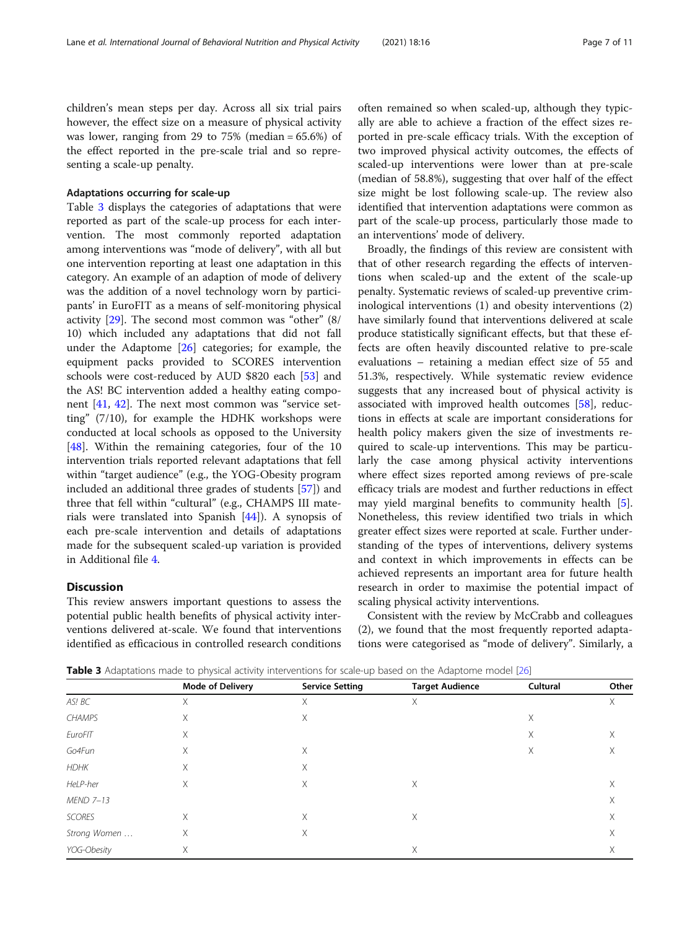children's mean steps per day. Across all six trial pairs however, the effect size on a measure of physical activity was lower, ranging from 29 to 75% (median = 65.6%) of the effect reported in the pre-scale trial and so representing a scale-up penalty.

# Adaptations occurring for scale-up

Table 3 displays the categories of adaptations that were reported as part of the scale-up process for each intervention. The most commonly reported adaptation among interventions was "mode of delivery", with all but one intervention reporting at least one adaptation in this category. An example of an adaption of mode of delivery was the addition of a novel technology worn by participants' in EuroFIT as a means of self-monitoring physical activity [[29\]](#page-9-0). The second most common was "other" (8/ 10) which included any adaptations that did not fall under the Adaptome [\[26](#page-9-0)] categories; for example, the equipment packs provided to SCORES intervention schools were cost-reduced by AUD \$820 each [[53](#page-9-0)] and the AS! BC intervention added a healthy eating component [[41,](#page-9-0) [42](#page-9-0)]. The next most common was "service setting" (7/10), for example the HDHK workshops were conducted at local schools as opposed to the University [[48\]](#page-9-0). Within the remaining categories, four of the 10 intervention trials reported relevant adaptations that fell within "target audience" (e.g., the YOG-Obesity program included an additional three grades of students [\[57](#page-10-0)]) and three that fell within "cultural" (e.g., CHAMPS III materials were translated into Spanish [[44](#page-9-0)]). A synopsis of each pre-scale intervention and details of adaptations made for the subsequent scaled-up variation is provided in Additional file [4.](#page-8-0)

# **Discussion**

This review answers important questions to assess the potential public health benefits of physical activity interventions delivered at-scale. We found that interventions identified as efficacious in controlled research conditions

often remained so when scaled-up, although they typically are able to achieve a fraction of the effect sizes reported in pre-scale efficacy trials. With the exception of two improved physical activity outcomes, the effects of scaled-up interventions were lower than at pre-scale (median of 58.8%), suggesting that over half of the effect size might be lost following scale-up. The review also identified that intervention adaptations were common as part of the scale-up process, particularly those made to an interventions' mode of delivery.

Broadly, the findings of this review are consistent with that of other research regarding the effects of interventions when scaled-up and the extent of the scale-up penalty. Systematic reviews of scaled-up preventive criminological interventions (1) and obesity interventions (2) have similarly found that interventions delivered at scale produce statistically significant effects, but that these effects are often heavily discounted relative to pre-scale evaluations – retaining a median effect size of 55 and 51.3%, respectively. While systematic review evidence suggests that any increased bout of physical activity is associated with improved health outcomes [\[58](#page-10-0)], reductions in effects at scale are important considerations for health policy makers given the size of investments required to scale-up interventions. This may be particularly the case among physical activity interventions where effect sizes reported among reviews of pre-scale efficacy trials are modest and further reductions in effect may yield marginal benefits to community health [\[5](#page-8-0)]. Nonetheless, this review identified two trials in which greater effect sizes were reported at scale. Further understanding of the types of interventions, delivery systems and context in which improvements in effects can be achieved represents an important area for future health research in order to maximise the potential impact of scaling physical activity interventions.

Consistent with the review by McCrabb and colleagues (2), we found that the most frequently reported adaptations were categorised as "mode of delivery". Similarly, a

**Table 3** Adaptations made to physical activity interventions for scale-up based on the Adaptome model [[26](#page-9-0)]

|               | <b>Mode of Delivery</b> | <b>Service Setting</b> | <b>Target Audience</b> | Cultural | Other |
|---------------|-------------------------|------------------------|------------------------|----------|-------|
| AS! BC        | X                       | X                      | Χ                      |          | Χ     |
| <b>CHAMPS</b> | X                       | X                      |                        | $\times$ |       |
| EuroFIT       | X                       |                        |                        | $\times$ | X.    |
| Go4Fun        | X                       | X                      |                        | $\times$ | Χ     |
| <b>HDHK</b>   | X                       | X                      |                        |          |       |
| HeLP-her      | X                       | X                      | Χ                      |          | Χ     |
| MEND 7-13     |                         |                        |                        |          | Χ     |
| <b>SCORES</b> | X                       | X                      | Χ                      |          | Χ     |
| Strong Women  | X                       | X                      |                        |          | X.    |
| YOG-Obesity   | X                       |                        | Χ                      |          | Χ     |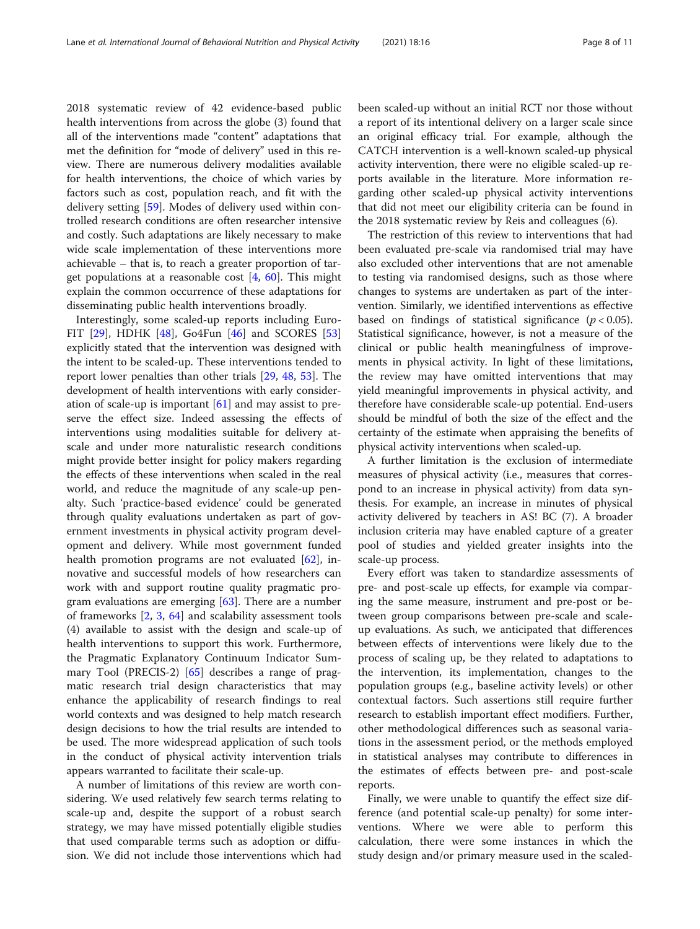2018 systematic review of 42 evidence-based public health interventions from across the globe (3) found that all of the interventions made "content" adaptations that met the definition for "mode of delivery" used in this review. There are numerous delivery modalities available for health interventions, the choice of which varies by factors such as cost, population reach, and fit with the delivery setting [\[59](#page-10-0)]. Modes of delivery used within controlled research conditions are often researcher intensive and costly. Such adaptations are likely necessary to make wide scale implementation of these interventions more achievable – that is, to reach a greater proportion of target populations at a reasonable cost  $[4, 60]$  $[4, 60]$  $[4, 60]$  $[4, 60]$  $[4, 60]$ . This might explain the common occurrence of these adaptations for disseminating public health interventions broadly.

Interestingly, some scaled-up reports including Euro-FIT  $[29]$  $[29]$ , HDHK  $[48]$  $[48]$ , Go4Fun  $[46]$  $[46]$  $[46]$  and SCORES  $[53]$  $[53]$  $[53]$ explicitly stated that the intervention was designed with the intent to be scaled-up. These interventions tended to report lower penalties than other trials [[29,](#page-9-0) [48](#page-9-0), [53](#page-9-0)]. The development of health interventions with early consideration of scale-up is important [\[61\]](#page-10-0) and may assist to preserve the effect size. Indeed assessing the effects of interventions using modalities suitable for delivery atscale and under more naturalistic research conditions might provide better insight for policy makers regarding the effects of these interventions when scaled in the real world, and reduce the magnitude of any scale-up penalty. Such 'practice-based evidence' could be generated through quality evaluations undertaken as part of government investments in physical activity program development and delivery. While most government funded health promotion programs are not evaluated [\[62](#page-10-0)], innovative and successful models of how researchers can work with and support routine quality pragmatic program evaluations are emerging [[63](#page-10-0)]. There are a number of frameworks [[2,](#page-8-0) [3](#page-8-0), [64\]](#page-10-0) and scalability assessment tools (4) available to assist with the design and scale-up of health interventions to support this work. Furthermore, the Pragmatic Explanatory Continuum Indicator Summary Tool (PRECIS-2) [[65](#page-10-0)] describes a range of pragmatic research trial design characteristics that may enhance the applicability of research findings to real world contexts and was designed to help match research design decisions to how the trial results are intended to be used. The more widespread application of such tools in the conduct of physical activity intervention trials appears warranted to facilitate their scale-up.

A number of limitations of this review are worth considering. We used relatively few search terms relating to scale-up and, despite the support of a robust search strategy, we may have missed potentially eligible studies that used comparable terms such as adoption or diffusion. We did not include those interventions which had been scaled-up without an initial RCT nor those without a report of its intentional delivery on a larger scale since an original efficacy trial. For example, although the CATCH intervention is a well-known scaled-up physical activity intervention, there were no eligible scaled-up reports available in the literature. More information regarding other scaled-up physical activity interventions that did not meet our eligibility criteria can be found in the 2018 systematic review by Reis and colleagues (6).

The restriction of this review to interventions that had been evaluated pre-scale via randomised trial may have also excluded other interventions that are not amenable to testing via randomised designs, such as those where changes to systems are undertaken as part of the intervention. Similarly, we identified interventions as effective based on findings of statistical significance  $(p < 0.05)$ . Statistical significance, however, is not a measure of the clinical or public health meaningfulness of improvements in physical activity. In light of these limitations, the review may have omitted interventions that may yield meaningful improvements in physical activity, and therefore have considerable scale-up potential. End-users should be mindful of both the size of the effect and the certainty of the estimate when appraising the benefits of physical activity interventions when scaled-up.

A further limitation is the exclusion of intermediate measures of physical activity (i.e., measures that correspond to an increase in physical activity) from data synthesis. For example, an increase in minutes of physical activity delivered by teachers in AS! BC (7). A broader inclusion criteria may have enabled capture of a greater pool of studies and yielded greater insights into the scale-up process.

Every effort was taken to standardize assessments of pre- and post-scale up effects, for example via comparing the same measure, instrument and pre-post or between group comparisons between pre-scale and scaleup evaluations. As such, we anticipated that differences between effects of interventions were likely due to the process of scaling up, be they related to adaptations to the intervention, its implementation, changes to the population groups (e.g., baseline activity levels) or other contextual factors. Such assertions still require further research to establish important effect modifiers. Further, other methodological differences such as seasonal variations in the assessment period, or the methods employed in statistical analyses may contribute to differences in the estimates of effects between pre- and post-scale reports.

Finally, we were unable to quantify the effect size difference (and potential scale-up penalty) for some interventions. Where we were able to perform this calculation, there were some instances in which the study design and/or primary measure used in the scaled-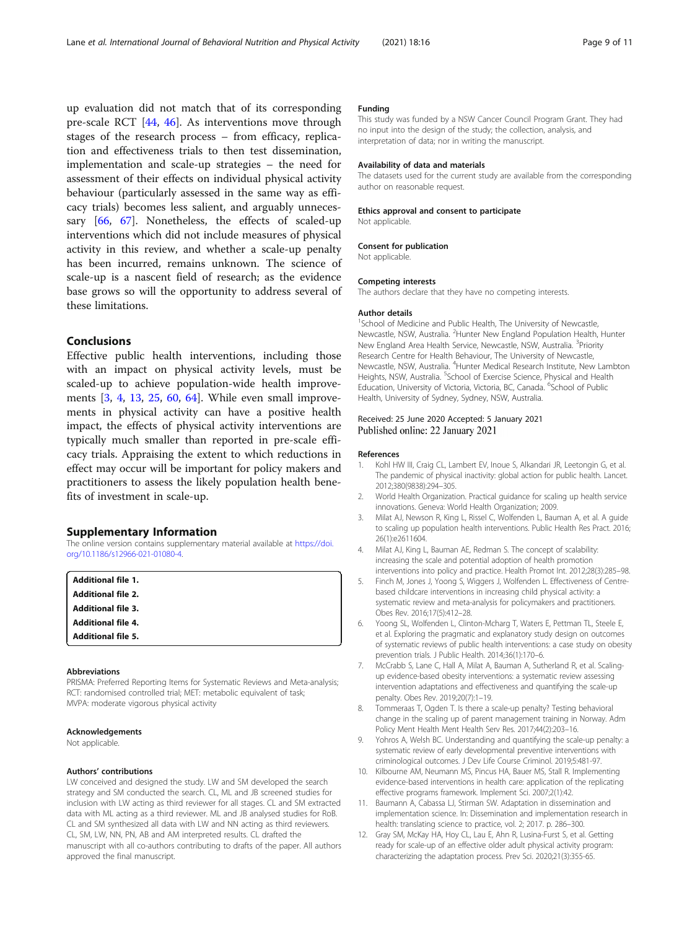<span id="page-8-0"></span>up evaluation did not match that of its corresponding pre-scale RCT [[44,](#page-9-0) [46\]](#page-9-0). As interventions move through stages of the research process – from efficacy, replication and effectiveness trials to then test dissemination, implementation and scale-up strategies – the need for assessment of their effects on individual physical activity behaviour (particularly assessed in the same way as efficacy trials) becomes less salient, and arguably unnecessary [\[66](#page-10-0), [67](#page-10-0)]. Nonetheless, the effects of scaled-up interventions which did not include measures of physical activity in this review, and whether a scale-up penalty has been incurred, remains unknown. The science of scale-up is a nascent field of research; as the evidence base grows so will the opportunity to address several of these limitations.

# Conclusions

Effective public health interventions, including those with an impact on physical activity levels, must be scaled-up to achieve population-wide health improvements [3, 4, [13](#page-9-0), [25](#page-9-0), [60,](#page-10-0) [64\]](#page-10-0). While even small improvements in physical activity can have a positive health impact, the effects of physical activity interventions are typically much smaller than reported in pre-scale efficacy trials. Appraising the extent to which reductions in effect may occur will be important for policy makers and practitioners to assess the likely population health benefits of investment in scale-up.

# Supplementary Information

The online version contains supplementary material available at [https://doi.](https://doi.org/10.1186/s12966-021-01080-4) [org/10.1186/s12966-021-01080-4.](https://doi.org/10.1186/s12966-021-01080-4)

Additional file 1. Additional file 2. Additional file 3. Additional file 4. Additional file 5.

#### Abbreviations

PRISMA: Preferred Reporting Items for Systematic Reviews and Meta-analysis; RCT: randomised controlled trial; MET: metabolic equivalent of task; MVPA: moderate vigorous physical activity

#### Acknowledgements

Not applicable.

#### Authors' contributions

LW conceived and designed the study. LW and SM developed the search strategy and SM conducted the search. CL, ML and JB screened studies for inclusion with LW acting as third reviewer for all stages. CL and SM extracted data with ML acting as a third reviewer. ML and JB analysed studies for RoB. CL and SM synthesized all data with LW and NN acting as third reviewers. CL, SM, LW, NN, PN, AB and AM interpreted results. CL drafted the manuscript with all co-authors contributing to drafts of the paper. All authors approved the final manuscript.

## Funding

This study was funded by a NSW Cancer Council Program Grant. They had no input into the design of the study; the collection, analysis, and interpretation of data; nor in writing the manuscript.

#### Availability of data and materials

The datasets used for the current study are available from the corresponding author on reasonable request.

## Ethics approval and consent to participate

Not applicable.

#### Consent for publication

Not applicable.

#### Competing interests

The authors declare that they have no competing interests.

#### Author details

<sup>1</sup>School of Medicine and Public Health, The University of Newcastle Newcastle, NSW, Australia. <sup>2</sup> Hunter New England Population Health, Hunter New England Area Health Service, Newcastle, NSW, Australia. <sup>3</sup>Priority Research Centre for Health Behaviour, The University of Newcastle, Newcastle, NSW, Australia. <sup>4</sup>Hunter Medical Research Institute, New Lambton Heights, NSW, Australia. <sup>5</sup>School of Exercise Science, Physical and Health Education, University of Victoria, Victoria, BC, Canada. <sup>6</sup>School of Public Health, University of Sydney, Sydney, NSW, Australia.

# Received: 25 June 2020 Accepted: 5 January 2021 Published online: 22 January 2021

#### References

- 1. Kohl HW III, Craig CL, Lambert EV, Inoue S, Alkandari JR, Leetongin G, et al. The pandemic of physical inactivity: global action for public health. Lancet. 2012;380(9838):294–305.
- 2. World Health Organization. Practical guidance for scaling up health service innovations. Geneva: World Health Organization; 2009.
- 3. Milat AJ, Newson R, King L, Rissel C, Wolfenden L, Bauman A, et al. A guide to scaling up population health interventions. Public Health Res Pract. 2016; 26(1):e2611604.
- 4. Milat AJ, King L, Bauman AE, Redman S. The concept of scalability: increasing the scale and potential adoption of health promotion interventions into policy and practice. Health Promot Int. 2012;28(3):285–98.
- 5. Finch M, Jones J, Yoong S, Wiggers J, Wolfenden L. Effectiveness of Centrebased childcare interventions in increasing child physical activity: a systematic review and meta-analysis for policymakers and practitioners. Obes Rev. 2016;17(5):412–28.
- 6. Yoong SL, Wolfenden L, Clinton-Mcharg T, Waters E, Pettman TL, Steele E, et al. Exploring the pragmatic and explanatory study design on outcomes of systematic reviews of public health interventions: a case study on obesity prevention trials. J Public Health. 2014;36(1):170–6.
- 7. McCrabb S, Lane C, Hall A, Milat A, Bauman A, Sutherland R, et al. Scalingup evidence-based obesity interventions: a systematic review assessing intervention adaptations and effectiveness and quantifying the scale-up penalty. Obes Rev. 2019;20(7):1–19.
- 8. Tommeraas T, Ogden T. Is there a scale-up penalty? Testing behavioral change in the scaling up of parent management training in Norway. Adm Policy Ment Health Ment Health Serv Res. 2017;44(2):203–16.
- Yohros A, Welsh BC. Understanding and quantifying the scale-up penalty: a systematic review of early developmental preventive interventions with criminological outcomes. J Dev Life Course Criminol. 2019;5:481-97.
- 10. Kilbourne AM, Neumann MS, Pincus HA, Bauer MS, Stall R. Implementing evidence-based interventions in health care: application of the replicating effective programs framework. Implement Sci. 2007;2(1):42.
- 11. Baumann A, Cabassa LJ, Stirman SW. Adaptation in dissemination and implementation science. In: Dissemination and implementation research in health: translating science to practice, vol. 2; 2017. p. 286–300.
- 12. Gray SM, McKay HA, Hoy CL, Lau E, Ahn R, Lusina-Furst S, et al. Getting ready for scale-up of an effective older adult physical activity program: characterizing the adaptation process. Prev Sci. 2020;21(3):355-65.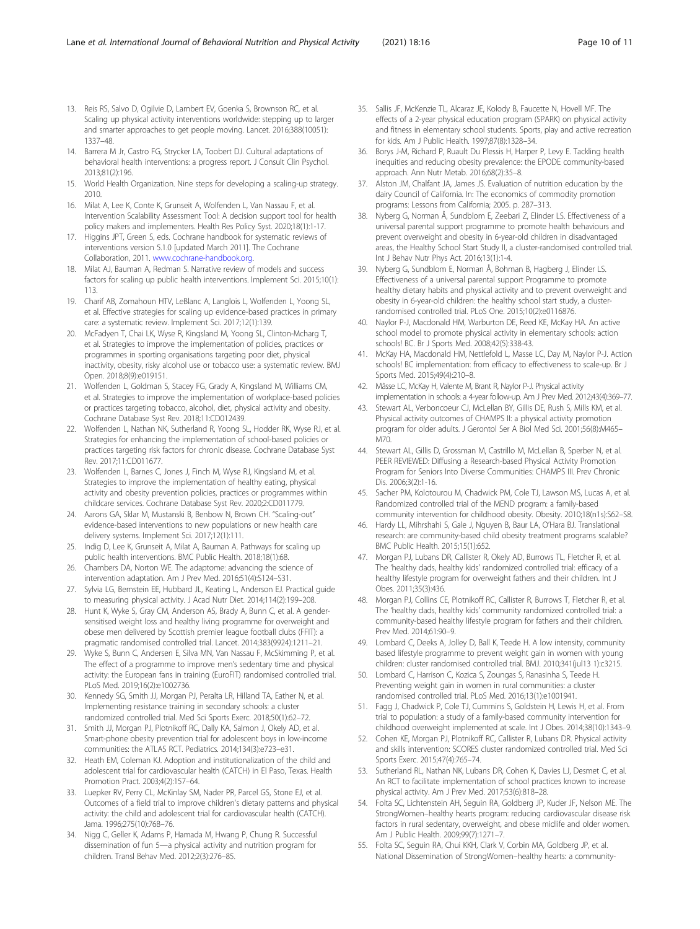- <span id="page-9-0"></span>13. Reis RS, Salvo D, Ogilvie D, Lambert EV, Goenka S, Brownson RC, et al. Scaling up physical activity interventions worldwide: stepping up to larger and smarter approaches to get people moving. Lancet. 2016;388(10051): 1337–48.
- 14. Barrera M Jr, Castro FG, Strycker LA, Toobert DJ. Cultural adaptations of behavioral health interventions: a progress report. J Consult Clin Psychol. 2013;81(2):196.
- 15. World Health Organization. Nine steps for developing a scaling-up strategy. 2010.
- 16. Milat A, Lee K, Conte K, Grunseit A, Wolfenden L, Van Nassau F, et al. Intervention Scalability Assessment Tool: A decision support tool for health policy makers and implementers. Health Res Policy Syst. 2020;18(1):1-17.
- 17. Higgins JPT, Green S, eds. Cochrane handbook for systematic reviews of interventions version 5.1.0 [updated March 2011]. The Cochrane Collaboration, 2011. [www.cochrane-handbook.org.](http://www.cochrane-handbook.org)
- 18. Milat AJ, Bauman A, Redman S. Narrative review of models and success factors for scaling up public health interventions. Implement Sci. 2015;10(1): 113.
- 19. Charif AB, Zomahoun HTV, LeBlanc A, Langlois L, Wolfenden L, Yoong SL, et al. Effective strategies for scaling up evidence-based practices in primary care: a systematic review. Implement Sci. 2017;12(1):139.
- 20. McFadyen T, Chai LK, Wyse R, Kingsland M, Yoong SL, Clinton-Mcharg T, et al. Strategies to improve the implementation of policies, practices or programmes in sporting organisations targeting poor diet, physical inactivity, obesity, risky alcohol use or tobacco use: a systematic review. BMJ Open. 2018;8(9):e019151.
- 21. Wolfenden L, Goldman S, Stacey FG, Grady A, Kingsland M, Williams CM, et al. Strategies to improve the implementation of workplace-based policies or practices targeting tobacco, alcohol, diet, physical activity and obesity. Cochrane Database Syst Rev. 2018;11:CD012439.
- 22. Wolfenden L, Nathan NK, Sutherland R, Yoong SL, Hodder RK, Wyse RJ, et al. Strategies for enhancing the implementation of school-based policies or practices targeting risk factors for chronic disease. Cochrane Database Syst Rev. 2017;11:CD011677.
- 23. Wolfenden L, Barnes C, Jones J, Finch M, Wyse RJ, Kingsland M, et al. Strategies to improve the implementation of healthy eating, physical activity and obesity prevention policies, practices or programmes within childcare services. Cochrane Database Syst Rev. 2020;2:CD011779.
- 24. Aarons GA, Sklar M, Mustanski B, Benbow N, Brown CH. "Scaling-out" evidence-based interventions to new populations or new health care delivery systems. Implement Sci. 2017;12(1):111.
- 25. Indig D, Lee K, Grunseit A, Milat A, Bauman A. Pathways for scaling up public health interventions. BMC Public Health. 2018;18(1):68.
- 26. Chambers DA, Norton WE. The adaptome: advancing the science of intervention adaptation. Am J Prev Med. 2016;51(4):S124–S31.
- 27. Sylvia LG, Bernstein EE, Hubbard JL, Keating L, Anderson EJ. Practical guide to measuring physical activity. J Acad Nutr Diet. 2014;114(2):199–208.
- 28. Hunt K, Wyke S, Gray CM, Anderson AS, Brady A, Bunn C, et al. A gendersensitised weight loss and healthy living programme for overweight and obese men delivered by Scottish premier league football clubs (FFIT): a pragmatic randomised controlled trial. Lancet. 2014;383(9924):1211–21.
- 29. Wyke S, Bunn C, Andersen E, Silva MN, Van Nassau F, McSkimming P, et al. The effect of a programme to improve men's sedentary time and physical activity: the European fans in training (EuroFIT) randomised controlled trial. PLoS Med. 2019;16(2):e1002736.
- 30. Kennedy SG, Smith JJ, Morgan PJ, Peralta LR, Hilland TA, Eather N, et al. Implementing resistance training in secondary schools: a cluster randomized controlled trial. Med Sci Sports Exerc. 2018;50(1):62–72.
- 31. Smith JJ, Morgan PJ, Plotnikoff RC, Dally KA, Salmon J, Okely AD, et al. Smart-phone obesity prevention trial for adolescent boys in low-income communities: the ATLAS RCT. Pediatrics. 2014;134(3):e723–e31.
- 32. Heath EM, Coleman KJ. Adoption and institutionalization of the child and adolescent trial for cardiovascular health (CATCH) in El Paso, Texas. Health Promotion Pract. 2003;4(2):157–64.
- 33. Luepker RV, Perry CL, McKinlay SM, Nader PR, Parcel GS, Stone EJ, et al. Outcomes of a field trial to improve children's dietary patterns and physical activity: the child and adolescent trial for cardiovascular health (CATCH). Jama. 1996;275(10):768–76.
- 34. Nigg C, Geller K, Adams P, Hamada M, Hwang P, Chung R. Successful dissemination of fun 5—a physical activity and nutrition program for children. Transl Behav Med. 2012;2(3):276–85.
- 35. Sallis JF, McKenzie TL, Alcaraz JE, Kolody B, Faucette N, Hovell MF. The effects of a 2-year physical education program (SPARK) on physical activity and fitness in elementary school students. Sports, play and active recreation for kids. Am J Public Health. 1997;87(8):1328–34.
- 36. Borys J-M, Richard P, Ruault Du Plessis H, Harper P, Levy E. Tackling health inequities and reducing obesity prevalence: the EPODE community-based approach. Ann Nutr Metab. 2016;68(2):35–8.
- 37. Alston JM, Chalfant JA, James JS. Evaluation of nutrition education by the dairy Council of California. In: The economics of commodity promotion programs: Lessons from California; 2005. p. 287–313.
- 38. Nyberg G, Norman Å, Sundblom E, Zeebari Z, Elinder LS. Effectiveness of a universal parental support programme to promote health behaviours and prevent overweight and obesity in 6-year-old children in disadvantaged areas, the Healthy School Start Study II, a cluster-randomised controlled trial. Int J Behav Nutr Phys Act. 2016;13(1):1-4.
- 39. Nyberg G, Sundblom E, Norman Å, Bohman B, Hagberg J, Elinder LS. Effectiveness of a universal parental support Programme to promote healthy dietary habits and physical activity and to prevent overweight and obesity in 6-year-old children: the healthy school start study, a clusterrandomised controlled trial. PLoS One. 2015;10(2):e0116876.
- 40. Naylor P-J, Macdonald HM, Warburton DE, Reed KE, McKay HA. An active school model to promote physical activity in elementary schools: action schools! BC. Br J Sports Med. 2008;42(5):338-43.
- 41. McKay HA, Macdonald HM, Nettlefold L, Masse LC, Day M, Naylor P-J. Action schools! BC implementation: from efficacy to effectiveness to scale-up. Br J Sports Med. 2015;49(4):210–8.
- 42. Mâsse LC, McKay H, Valente M, Brant R, Naylor P-J. Physical activity implementation in schools: a 4-year follow-up. Am J Prev Med. 2012;43(4):369–77.
- 43. Stewart AL, Verboncoeur CJ, McLellan BY, Gillis DE, Rush S, Mills KM, et al. Physical activity outcomes of CHAMPS II: a physical activity promotion program for older adults. J Gerontol Ser A Biol Med Sci. 2001;56(8):M465– M70.
- 44. Stewart AL, Gillis D, Grossman M, Castrillo M, McLellan B, Sperber N, et al. PEER REVIEWED: Diffusing a Research-based Physical Activity Promotion Program for Seniors Into Diverse Communities: CHAMPS III. Prev Chronic Dis. 2006;3(2):1-16.
- 45. Sacher PM, Kolotourou M, Chadwick PM, Cole TJ, Lawson MS, Lucas A, et al. Randomized controlled trial of the MEND program: a family-based community intervention for childhood obesity. Obesity. 2010;18(n1s):S62–S8.
- 46. Hardy LL, Mihrshahi S, Gale J, Nguyen B, Baur LA, O'Hara BJ. Translational research: are community-based child obesity treatment programs scalable? BMC Public Health. 2015;15(1):652.
- 47. Morgan PJ, Lubans DR, Callister R, Okely AD, Burrows TL, Fletcher R, et al. The 'healthy dads, healthy kids' randomized controlled trial: efficacy of a healthy lifestyle program for overweight fathers and their children. Int J Obes. 2011;35(3):436.
- 48. Morgan PJ, Collins CE, Plotnikoff RC, Callister R, Burrows T, Fletcher R, et al. The 'healthy dads, healthy kids' community randomized controlled trial: a community-based healthy lifestyle program for fathers and their children. Prev Med. 2014;61:90–9.
- 49. Lombard C, Deeks A, Jolley D, Ball K, Teede H. A low intensity, community based lifestyle programme to prevent weight gain in women with young children: cluster randomised controlled trial. BMJ. 2010;341(jul13 1):c3215.
- Lombard C, Harrison C, Kozica S, Zoungas S, Ranasinha S, Teede H. Preventing weight gain in women in rural communities: a cluster randomised controlled trial. PLoS Med. 2016;13(1):e1001941.
- 51. Fagg J, Chadwick P, Cole TJ, Cummins S, Goldstein H, Lewis H, et al. From trial to population: a study of a family-based community intervention for childhood overweight implemented at scale. Int J Obes. 2014;38(10):1343–9.
- 52. Cohen KE, Morgan PJ, Plotnikoff RC, Callister R, Lubans DR. Physical activity and skills intervention: SCORES cluster randomized controlled trial. Med Sci Sports Exerc. 2015;47(4):765–74.
- 53. Sutherland RL, Nathan NK, Lubans DR, Cohen K, Davies LJ, Desmet C, et al. An RCT to facilitate implementation of school practices known to increase physical activity. Am J Prev Med. 2017;53(6):818–28.
- 54. Folta SC, Lichtenstein AH, Seguin RA, Goldberg JP, Kuder JF, Nelson ME. The StrongWomen–healthy hearts program: reducing cardiovascular disease risk factors in rural sedentary, overweight, and obese midlife and older women. Am J Public Health. 2009;99(7):1271–7.
- 55. Folta SC, Seguin RA, Chui KKH, Clark V, Corbin MA, Goldberg JP, et al. National Dissemination of StrongWomen–healthy hearts: a community-